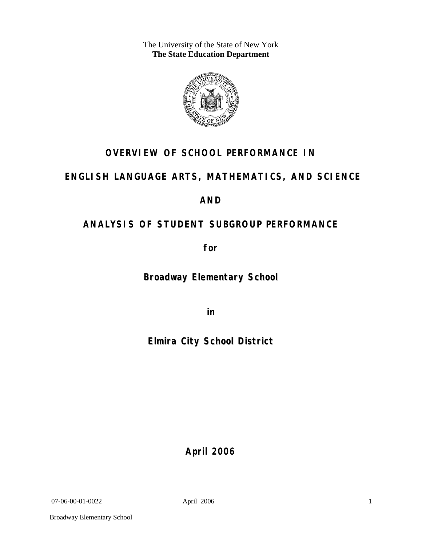The University of the State of New York **The State Education Department** 



# **OVERVIEW OF SCHOOL PERFORMANCE IN**

# **ENGLISH LANGUAGE ARTS, MATHEMATICS, AND SCIENCE**

## **AND**

# **ANALYSIS OF STUDENT SUBGROUP PERFORMANCE**

**for** 

**Broadway Elementary School**

**in** 

**Elmira City School District**

**April 2006**

07-06-00-01-0022 April 2006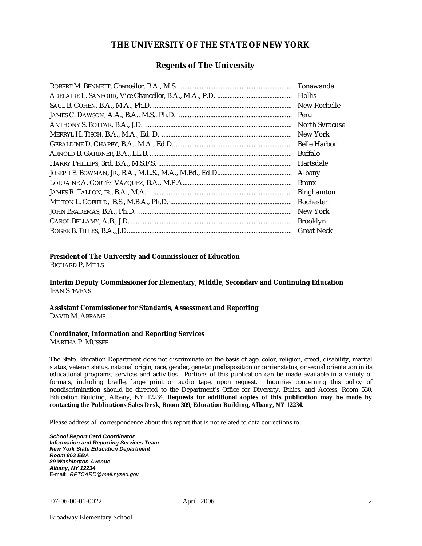#### **THE UNIVERSITY OF THE STATE OF NEW YORK**

#### **Regents of The University**

| Tonawanda             |
|-----------------------|
| Hollis                |
| New Rochelle          |
| Peru                  |
| <b>North Syracuse</b> |
| New York              |
|                       |
| Buffalo               |
| Hartsdale             |
| Albany                |
| <b>Bronx</b>          |
| <b>Binghamton</b>     |
| Rochester             |
| New York              |
| <b>Brooklyn</b>       |
| <b>Great Neck</b>     |

#### **President of The University and Commissioner of Education**

RICHARD P. MILLS

**Interim Deputy Commissioner for Elementary, Middle, Secondary and Continuing Education**  JEAN STEVENS

#### **Assistant Commissioner for Standards, Assessment and Reporting**  DAVID M. ABRAMS

#### **Coordinator, Information and Reporting Services**

MARTHA P. MUSSER

The State Education Department does not discriminate on the basis of age, color, religion, creed, disability, marital status, veteran status, national origin, race, gender, genetic predisposition or carrier status, or sexual orientation in its educational programs, services and activities. Portions of this publication can be made available in a variety of formats, including braille, large print or audio tape, upon request. Inquiries concerning this policy of nondiscrimination should be directed to the Department's Office for Diversity, Ethics, and Access, Room 530, Education Building, Albany, NY 12234. **Requests for additional copies of this publication may be made by contacting the Publications Sales Desk, Room 309, Education Building, Albany, NY 12234.** 

Please address all correspondence about this report that is not related to data corrections to:

*School Report Card Coordinator Information and Reporting Services Team New York State Education Department Room 863 EBA 89 Washington Avenue Albany, NY 12234*  E-mail: *RPTCARD@mail.nysed.gov*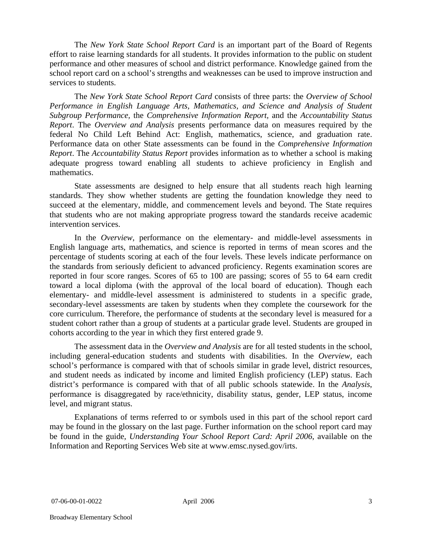The *New York State School Report Card* is an important part of the Board of Regents effort to raise learning standards for all students. It provides information to the public on student performance and other measures of school and district performance. Knowledge gained from the school report card on a school's strengths and weaknesses can be used to improve instruction and services to students.

The *New York State School Report Card* consists of three parts: the *Overview of School Performance in English Language Arts, Mathematics, and Science and Analysis of Student Subgroup Performance,* the *Comprehensive Information Report,* and the *Accountability Status Report*. The *Overview and Analysis* presents performance data on measures required by the federal No Child Left Behind Act: English, mathematics, science, and graduation rate. Performance data on other State assessments can be found in the *Comprehensive Information Report*. The *Accountability Status Report* provides information as to whether a school is making adequate progress toward enabling all students to achieve proficiency in English and mathematics.

State assessments are designed to help ensure that all students reach high learning standards. They show whether students are getting the foundation knowledge they need to succeed at the elementary, middle, and commencement levels and beyond. The State requires that students who are not making appropriate progress toward the standards receive academic intervention services.

In the *Overview*, performance on the elementary- and middle-level assessments in English language arts, mathematics, and science is reported in terms of mean scores and the percentage of students scoring at each of the four levels. These levels indicate performance on the standards from seriously deficient to advanced proficiency. Regents examination scores are reported in four score ranges. Scores of 65 to 100 are passing; scores of 55 to 64 earn credit toward a local diploma (with the approval of the local board of education). Though each elementary- and middle-level assessment is administered to students in a specific grade, secondary-level assessments are taken by students when they complete the coursework for the core curriculum. Therefore, the performance of students at the secondary level is measured for a student cohort rather than a group of students at a particular grade level. Students are grouped in cohorts according to the year in which they first entered grade 9.

The assessment data in the *Overview and Analysis* are for all tested students in the school, including general-education students and students with disabilities. In the *Overview*, each school's performance is compared with that of schools similar in grade level, district resources, and student needs as indicated by income and limited English proficiency (LEP) status. Each district's performance is compared with that of all public schools statewide. In the *Analysis*, performance is disaggregated by race/ethnicity, disability status, gender, LEP status, income level, and migrant status.

Explanations of terms referred to or symbols used in this part of the school report card may be found in the glossary on the last page. Further information on the school report card may be found in the guide, *Understanding Your School Report Card: April 2006*, available on the Information and Reporting Services Web site at www.emsc.nysed.gov/irts.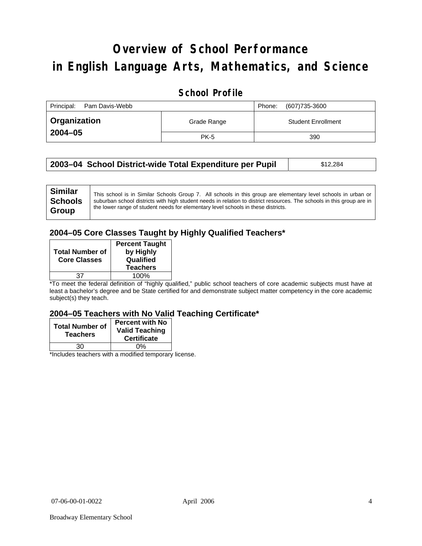# **Overview of School Performance in English Language Arts, Mathematics, and Science**

## **School Profile**

| Principal:<br>Pam Davis-Webb |             | (607)735-3600<br>Phone:   |
|------------------------------|-------------|---------------------------|
| <b>Organization</b>          | Grade Range | <b>Student Enrollment</b> |
| 2004-05                      | <b>PK-5</b> | 390                       |

| 2003–04 School District-wide Total Expenditure per Pupil | \$12,284 |
|----------------------------------------------------------|----------|
|----------------------------------------------------------|----------|

## **2004–05 Core Classes Taught by Highly Qualified Teachers\***

| <b>Total Number of</b><br><b>Core Classes</b> | <b>Percent Taught</b><br>by Highly<br>Qualified<br><b>Teachers</b> |
|-----------------------------------------------|--------------------------------------------------------------------|
| 37                                            | 100%                                                               |

\*To meet the federal definition of "highly qualified," public school teachers of core academic subjects must have at least a bachelor's degree and be State certified for and demonstrate subject matter competency in the core academic subject(s) they teach.

#### **2004–05 Teachers with No Valid Teaching Certificate\***

| <b>Total Number of</b><br><b>Teachers</b> | <b>Percent with No</b><br><b>Valid Teaching</b><br><b>Certificate</b> |
|-------------------------------------------|-----------------------------------------------------------------------|
| 30                                        | 0%                                                                    |
| $\mathbf{A}$<br>$\cdots$                  |                                                                       |

\*Includes teachers with a modified temporary license.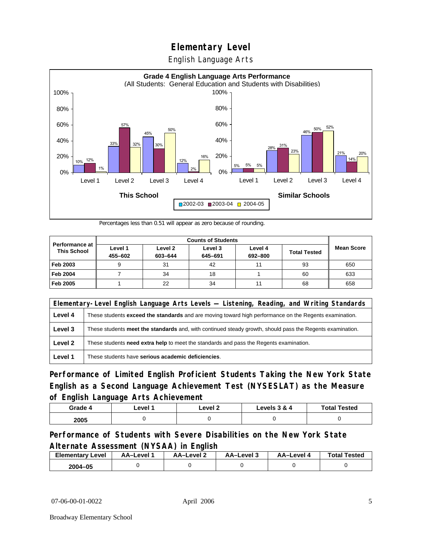English Language Arts



Percentages less than 0.51 will appear as zero because of rounding.

|                                             | <b>Counts of Students</b> |                    |                    |                    |                     |                   |
|---------------------------------------------|---------------------------|--------------------|--------------------|--------------------|---------------------|-------------------|
| <b>Performance at</b><br><b>This School</b> | Level 1<br>455-602        | Level 2<br>603-644 | Level 3<br>645-691 | Level 4<br>692-800 | <b>Total Tested</b> | <b>Mean Score</b> |
| Feb 2003                                    | 9                         | 31                 | 42                 | 11                 | 93                  | 650               |
| <b>Feb 2004</b>                             |                           | 34                 | 18                 |                    | 60                  | 633               |
| Feb 2005                                    |                           | 22                 | 34                 | 11                 | 68                  | 658               |

| Elementary-Level English Language Arts Levels — Listening, Reading, and Writing Standards |                                                                                                               |  |
|-------------------------------------------------------------------------------------------|---------------------------------------------------------------------------------------------------------------|--|
| Level 4                                                                                   | These students <b>exceed the standards</b> and are moving toward high performance on the Regents examination. |  |
| Level 3                                                                                   | These students meet the standards and, with continued steady growth, should pass the Regents examination.     |  |
| Level 2                                                                                   | These students need extra help to meet the standards and pass the Regents examination.                        |  |
| Level 1                                                                                   | These students have serious academic deficiencies.                                                            |  |

**Performance of Limited English Proficient Students Taking the New York State English as a Second Language Achievement Test (NYSESLAT) as the Measure of English Language Arts Achievement**

| Grade 4 | _evel ′ | Level 2 | Levels 3 & 4 | <b>Total Tested</b> |
|---------|---------|---------|--------------|---------------------|
| 2005    |         |         |              |                     |

## **Performance of Students with Severe Disabilities on the New York State Alternate Assessment (NYSAA) in English**

| <b>Elementary Level</b> | AA-Level | AA-Level 2 | AA-Level 3 | AA–Level 4 | <b>Total Tested</b> |
|-------------------------|----------|------------|------------|------------|---------------------|
| 2004-05                 |          |            |            |            |                     |

07-06-00-01-0022 April 2006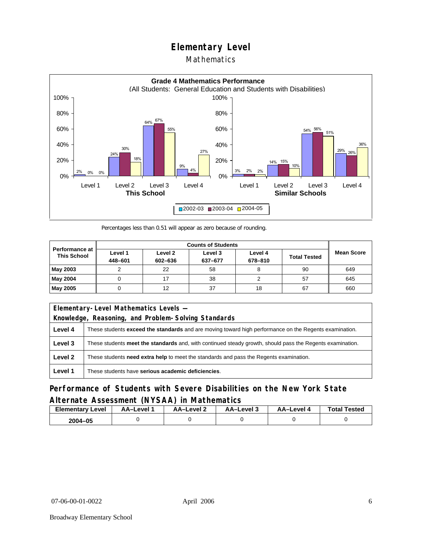## Mathematics



Percentages less than 0.51 will appear as zero because of rounding.

|                                             |                    |                    | <b>Counts of Students</b> |                    |                     |                   |
|---------------------------------------------|--------------------|--------------------|---------------------------|--------------------|---------------------|-------------------|
| <b>Performance at</b><br><b>This School</b> | Level 1<br>448-601 | Level 2<br>602-636 | Level 3<br>637-677        | Level 4<br>678-810 | <b>Total Tested</b> | <b>Mean Score</b> |
| <b>May 2003</b>                             |                    | 22                 | 58                        |                    | 90                  | 649               |
| <b>May 2004</b>                             |                    |                    | 38                        |                    | 57                  | 645               |
| <b>May 2005</b>                             |                    | 12                 | 37                        | 18                 | 67                  | 660               |

|         | Elementary-Level Mathematics Levels -                                                                         |  |  |
|---------|---------------------------------------------------------------------------------------------------------------|--|--|
|         | Knowledge, Reasoning, and Problem-Solving Standards                                                           |  |  |
| Level 4 | These students <b>exceed the standards</b> and are moving toward high performance on the Regents examination. |  |  |
| Level 3 | These students meet the standards and, with continued steady growth, should pass the Regents examination.     |  |  |
| Level 2 | These students <b>need extra help</b> to meet the standards and pass the Regents examination.                 |  |  |
| Level 1 | These students have serious academic deficiencies.                                                            |  |  |

## **Performance of Students with Severe Disabilities on the New York State Alternate Assessment (NYSAA) in Mathematics**

| Elementary<br>Level | AA–Level | – AA–Level ∠ | د AA–Level | AA-Level · | <b>Total Tested</b> |
|---------------------|----------|--------------|------------|------------|---------------------|
| 2004-05             |          |              |            |            |                     |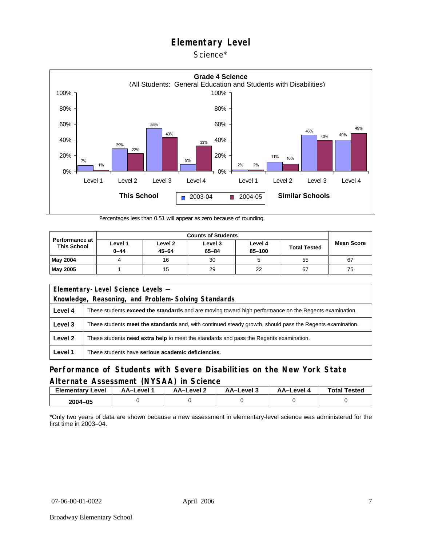Science\*



Percentages less than 0.51 will appear as zero because of rounding.

| <b>Performance at</b><br><b>This School</b> |                     |                      |                      |                   |                     |                   |
|---------------------------------------------|---------------------|----------------------|----------------------|-------------------|---------------------|-------------------|
|                                             | Level 1<br>$0 - 44$ | Level 2<br>$45 - 64$ | Level 3<br>$65 - 84$ | Level 4<br>85-100 | <b>Total Tested</b> | <b>Mean Score</b> |
| <b>May 2004</b>                             |                     | 16                   | 30                   |                   | 55                  | 67                |
| <b>May 2005</b>                             |                     | 15                   | 29                   | 22                | 67                  | 75                |

| Elementary-Level Science Levels -                   |                                                                                                               |  |  |  |  |  |  |
|-----------------------------------------------------|---------------------------------------------------------------------------------------------------------------|--|--|--|--|--|--|
| Knowledge, Reasoning, and Problem-Solving Standards |                                                                                                               |  |  |  |  |  |  |
| Level 4                                             | These students <b>exceed the standards</b> and are moving toward high performance on the Regents examination. |  |  |  |  |  |  |
| Level 3                                             | These students meet the standards and, with continued steady growth, should pass the Regents examination.     |  |  |  |  |  |  |
| Level 2                                             | These students <b>need extra help</b> to meet the standards and pass the Regents examination.                 |  |  |  |  |  |  |
| Level 1                                             | These students have serious academic deficiencies.                                                            |  |  |  |  |  |  |

### **Performance of Students with Severe Disabilities on the New York State Alternate Assessment (NYSAA) in Science**

| <b>Elementary Level</b> | <b>AA-Level</b> | AA–Level ∠ | - AA–Level | AA–Level 4 | <b>Total Tested</b> |
|-------------------------|-----------------|------------|------------|------------|---------------------|
| 2004-05                 |                 |            |            |            |                     |

\*Only two years of data are shown because a new assessment in elementary-level science was administered for the first time in 2003–04.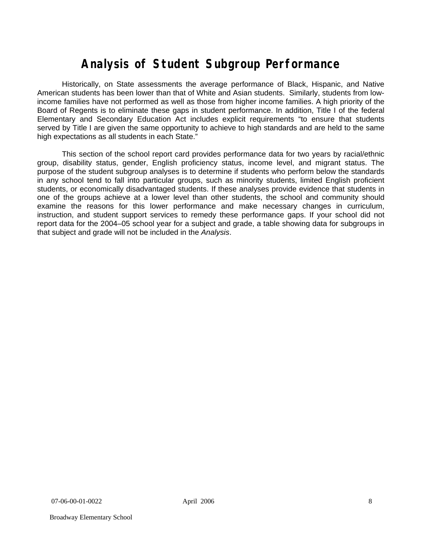# **Analysis of Student Subgroup Performance**

Historically, on State assessments the average performance of Black, Hispanic, and Native American students has been lower than that of White and Asian students. Similarly, students from lowincome families have not performed as well as those from higher income families. A high priority of the Board of Regents is to eliminate these gaps in student performance. In addition, Title I of the federal Elementary and Secondary Education Act includes explicit requirements "to ensure that students served by Title I are given the same opportunity to achieve to high standards and are held to the same high expectations as all students in each State."

This section of the school report card provides performance data for two years by racial/ethnic group, disability status, gender, English proficiency status, income level, and migrant status. The purpose of the student subgroup analyses is to determine if students who perform below the standards in any school tend to fall into particular groups, such as minority students, limited English proficient students, or economically disadvantaged students. If these analyses provide evidence that students in one of the groups achieve at a lower level than other students, the school and community should examine the reasons for this lower performance and make necessary changes in curriculum, instruction, and student support services to remedy these performance gaps. If your school did not report data for the 2004–05 school year for a subject and grade, a table showing data for subgroups in that subject and grade will not be included in the *Analysis*.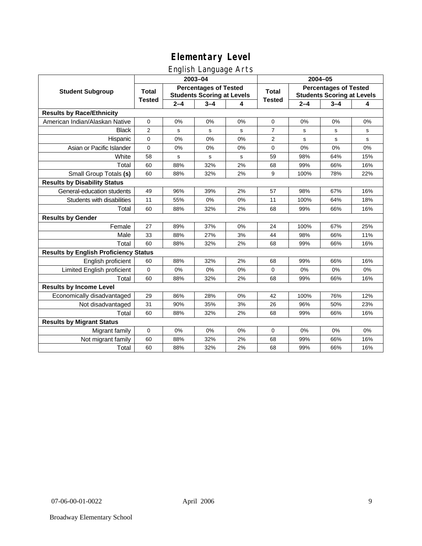# English Language Arts

|                                              |                                                                                   |         | ັ<br>2003-04 |              | 2004-05                                                           |         |         |     |  |
|----------------------------------------------|-----------------------------------------------------------------------------------|---------|--------------|--------------|-------------------------------------------------------------------|---------|---------|-----|--|
| <b>Student Subgroup</b>                      | <b>Percentages of Tested</b><br><b>Total</b><br><b>Students Scoring at Levels</b> |         |              | <b>Total</b> | <b>Percentages of Tested</b><br><b>Students Scoring at Levels</b> |         |         |     |  |
|                                              | <b>Tested</b>                                                                     | $2 - 4$ | $3 - 4$      | 4            | <b>Tested</b>                                                     | $2 - 4$ | $3 - 4$ | 4   |  |
| <b>Results by Race/Ethnicity</b>             |                                                                                   |         |              |              |                                                                   |         |         |     |  |
| American Indian/Alaskan Native               | 0                                                                                 | 0%      | 0%           | 0%           | $\mathbf 0$                                                       | 0%      | 0%      | 0%  |  |
| <b>Black</b>                                 | 2                                                                                 | s       | s            | s            | 7                                                                 | s       | s       | s   |  |
| Hispanic                                     | 0                                                                                 | 0%      | 0%           | 0%           | $\overline{2}$                                                    | s       | s       | s   |  |
| Asian or Pacific Islander                    | 0                                                                                 | 0%      | 0%           | 0%           | 0                                                                 | 0%      | 0%      | 0%  |  |
| White                                        | 58                                                                                | s       | s            | s            | 59                                                                | 98%     | 64%     | 15% |  |
| Total                                        | 60                                                                                | 88%     | 32%          | 2%           | 68                                                                | 99%     | 66%     | 16% |  |
| Small Group Totals (s)                       | 60                                                                                | 88%     | 32%          | 2%           | 9                                                                 | 100%    | 78%     | 22% |  |
| <b>Results by Disability Status</b>          |                                                                                   |         |              |              |                                                                   |         |         |     |  |
| General-education students                   | 49                                                                                | 96%     | 39%          | 2%           | 57                                                                | 98%     | 67%     | 16% |  |
| Students with disabilities                   | 11                                                                                | 55%     | 0%           | 0%           | 11                                                                | 100%    | 64%     | 18% |  |
| Total                                        | 60                                                                                | 88%     | 32%          | 2%           | 68                                                                | 99%     | 66%     | 16% |  |
| <b>Results by Gender</b>                     |                                                                                   |         |              |              |                                                                   |         |         |     |  |
| Female                                       | 27                                                                                | 89%     | 37%          | 0%           | 24                                                                | 100%    | 67%     | 25% |  |
| Male                                         | 33                                                                                | 88%     | 27%          | 3%           | 44                                                                | 98%     | 66%     | 11% |  |
| Total                                        | 60                                                                                | 88%     | 32%          | 2%           | 68                                                                | 99%     | 66%     | 16% |  |
| <b>Results by English Proficiency Status</b> |                                                                                   |         |              |              |                                                                   |         |         |     |  |
| English proficient                           | 60                                                                                | 88%     | 32%          | 2%           | 68                                                                | 99%     | 66%     | 16% |  |
| Limited English proficient                   | 0                                                                                 | 0%      | 0%           | 0%           | 0                                                                 | 0%      | 0%      | 0%  |  |
| Total                                        | 60                                                                                | 88%     | 32%          | 2%           | 68                                                                | 99%     | 66%     | 16% |  |
| <b>Results by Income Level</b>               |                                                                                   |         |              |              |                                                                   |         |         |     |  |
| Economically disadvantaged                   | 29                                                                                | 86%     | 28%          | 0%           | 42                                                                | 100%    | 76%     | 12% |  |
| Not disadvantaged                            | 31                                                                                | 90%     | 35%          | 3%           | 26                                                                | 96%     | 50%     | 23% |  |
| Total                                        | 60                                                                                | 88%     | 32%          | 2%           | 68                                                                | 99%     | 66%     | 16% |  |
| <b>Results by Migrant Status</b>             |                                                                                   |         |              |              |                                                                   |         |         |     |  |
| Migrant family                               | $\mathbf 0$                                                                       | 0%      | 0%           | 0%           | 0                                                                 | 0%      | 0%      | 0%  |  |
| Not migrant family                           | 60                                                                                | 88%     | 32%          | 2%           | 68                                                                | 99%     | 66%     | 16% |  |
| Total                                        | 60                                                                                | 88%     | 32%          | 2%           | 68                                                                | 99%     | 66%     | 16% |  |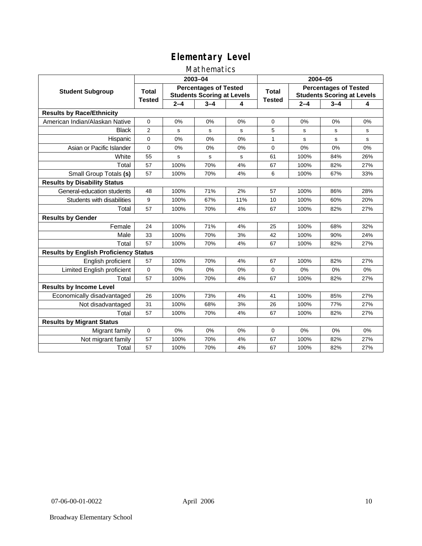## Mathematics

|                                              |                                                                                   |         | 2003-04     |              | 2004-05       |         |                                                                   |     |  |
|----------------------------------------------|-----------------------------------------------------------------------------------|---------|-------------|--------------|---------------|---------|-------------------------------------------------------------------|-----|--|
| <b>Student Subgroup</b>                      | <b>Percentages of Tested</b><br><b>Total</b><br><b>Students Scoring at Levels</b> |         |             | <b>Total</b> |               |         | <b>Percentages of Tested</b><br><b>Students Scoring at Levels</b> |     |  |
|                                              | <b>Tested</b>                                                                     | $2 - 4$ | $3 - 4$     | 4            | <b>Tested</b> | $2 - 4$ | $3 - 4$                                                           | 4   |  |
| <b>Results by Race/Ethnicity</b>             |                                                                                   |         |             |              |               |         |                                                                   |     |  |
| American Indian/Alaskan Native               | $\mathbf{0}$                                                                      | 0%      | 0%          | 0%           | $\Omega$      | 0%      | 0%                                                                | 0%  |  |
| <b>Black</b>                                 | $\overline{2}$                                                                    | s       | s           | s            | 5             | s       | s                                                                 | s   |  |
| Hispanic                                     | $\Omega$                                                                          | 0%      | 0%          | 0%           | 1             | s       | s                                                                 | s   |  |
| Asian or Pacific Islander                    | 0                                                                                 | 0%      | 0%          | 0%           | $\mathbf 0$   | 0%      | 0%                                                                | 0%  |  |
| White                                        | 55                                                                                | s       | $\mathbf s$ | s            | 61            | 100%    | 84%                                                               | 26% |  |
| Total                                        | 57                                                                                | 100%    | 70%         | 4%           | 67            | 100%    | 82%                                                               | 27% |  |
| Small Group Totals (s)                       | 57                                                                                | 100%    | 70%         | 4%           | 6             | 100%    | 67%                                                               | 33% |  |
| <b>Results by Disability Status</b>          |                                                                                   |         |             |              |               |         |                                                                   |     |  |
| General-education students                   | 48                                                                                | 100%    | 71%         | 2%           | 57            | 100%    | 86%                                                               | 28% |  |
| Students with disabilities                   | 9                                                                                 | 100%    | 67%         | 11%          | 10            | 100%    | 60%                                                               | 20% |  |
| Total                                        | 57                                                                                | 100%    | 70%         | 4%           | 67            | 100%    | 82%                                                               | 27% |  |
| <b>Results by Gender</b>                     |                                                                                   |         |             |              |               |         |                                                                   |     |  |
| Female                                       | 24                                                                                | 100%    | 71%         | 4%           | 25            | 100%    | 68%                                                               | 32% |  |
| Male                                         | 33                                                                                | 100%    | 70%         | 3%           | 42            | 100%    | 90%                                                               | 24% |  |
| Total                                        | 57                                                                                | 100%    | 70%         | 4%           | 67            | 100%    | 82%                                                               | 27% |  |
| <b>Results by English Proficiency Status</b> |                                                                                   |         |             |              |               |         |                                                                   |     |  |
| English proficient                           | 57                                                                                | 100%    | 70%         | 4%           | 67            | 100%    | 82%                                                               | 27% |  |
| Limited English proficient                   | 0                                                                                 | 0%      | 0%          | 0%           | $\mathbf 0$   | 0%      | 0%                                                                | 0%  |  |
| Total                                        | 57                                                                                | 100%    | 70%         | 4%           | 67            | 100%    | 82%                                                               | 27% |  |
| <b>Results by Income Level</b>               |                                                                                   |         |             |              |               |         |                                                                   |     |  |
| Economically disadvantaged                   | 26                                                                                | 100%    | 73%         | 4%           | 41            | 100%    | 85%                                                               | 27% |  |
| Not disadvantaged                            | 31                                                                                | 100%    | 68%         | 3%           | 26            | 100%    | 77%                                                               | 27% |  |
| Total                                        | 57                                                                                | 100%    | 70%         | 4%           | 67            | 100%    | 82%                                                               | 27% |  |
| <b>Results by Migrant Status</b>             |                                                                                   |         |             |              |               |         |                                                                   |     |  |
| Migrant family                               | 0                                                                                 | 0%      | 0%          | 0%           | $\mathbf 0$   | 0%      | 0%                                                                | 0%  |  |
| Not migrant family                           | 57                                                                                | 100%    | 70%         | 4%           | 67            | 100%    | 82%                                                               | 27% |  |
| Total                                        | 57                                                                                | 100%    | 70%         | 4%           | 67            | 100%    | 82%                                                               | 27% |  |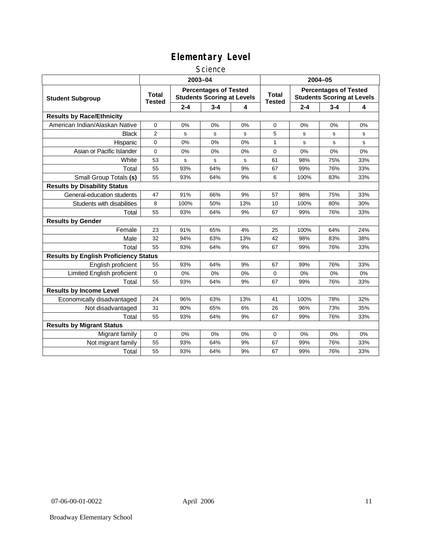#### **Science**

|                                              | 2003-04                                                                                            |         |         |                               |              | 2004-05                                                           |         |     |  |
|----------------------------------------------|----------------------------------------------------------------------------------------------------|---------|---------|-------------------------------|--------------|-------------------------------------------------------------------|---------|-----|--|
| <b>Student Subgroup</b>                      | <b>Percentages of Tested</b><br><b>Total</b><br><b>Students Scoring at Levels</b><br><b>Tested</b> |         |         | <b>Total</b><br><b>Tested</b> |              | <b>Percentages of Tested</b><br><b>Students Scoring at Levels</b> |         |     |  |
|                                              |                                                                                                    | $2 - 4$ | $3 - 4$ | 4                             |              | $2 - 4$                                                           | $3 - 4$ | 4   |  |
| <b>Results by Race/Ethnicity</b>             |                                                                                                    |         |         |                               |              |                                                                   |         |     |  |
| American Indian/Alaskan Native               | $\Omega$                                                                                           | 0%      | 0%      | 0%                            | $\Omega$     | 0%                                                                | 0%      | 0%  |  |
| <b>Black</b>                                 | $\overline{2}$                                                                                     | s       | s       | s                             | 5            | s                                                                 | s       | s   |  |
| Hispanic                                     | 0                                                                                                  | 0%      | 0%      | 0%                            | $\mathbf{1}$ | s                                                                 | s       | s   |  |
| Asian or Pacific Islander                    | 0                                                                                                  | 0%      | $0\%$   | 0%                            | $\mathbf 0$  | 0%                                                                | 0%      | 0%  |  |
| White                                        | 53                                                                                                 | s       | s       | s                             | 61           | 98%                                                               | 75%     | 33% |  |
| Total                                        | 55                                                                                                 | 93%     | 64%     | 9%                            | 67           | 99%                                                               | 76%     | 33% |  |
| Small Group Totals (s)                       | 55                                                                                                 | 93%     | 64%     | 9%                            | 6            | 100%                                                              | 83%     | 33% |  |
| <b>Results by Disability Status</b>          |                                                                                                    |         |         |                               |              |                                                                   |         |     |  |
| General-education students                   | 47                                                                                                 | 91%     | 66%     | 9%                            | 57           | 98%                                                               | 75%     | 33% |  |
| Students with disabilities                   | 8                                                                                                  | 100%    | 50%     | 13%                           | 10           | 100%                                                              | 80%     | 30% |  |
| Total                                        | 55                                                                                                 | 93%     | 64%     | 9%                            | 67           | 99%                                                               | 76%     | 33% |  |
| <b>Results by Gender</b>                     |                                                                                                    |         |         |                               |              |                                                                   |         |     |  |
| Female                                       | 23                                                                                                 | 91%     | 65%     | 4%                            | 25           | 100%                                                              | 64%     | 24% |  |
| Male                                         | 32                                                                                                 | 94%     | 63%     | 13%                           | 42           | 98%                                                               | 83%     | 38% |  |
| Total                                        | 55                                                                                                 | 93%     | 64%     | 9%                            | 67           | 99%                                                               | 76%     | 33% |  |
| <b>Results by English Proficiency Status</b> |                                                                                                    |         |         |                               |              |                                                                   |         |     |  |
| English proficient                           | 55                                                                                                 | 93%     | 64%     | 9%                            | 67           | 99%                                                               | 76%     | 33% |  |
| Limited English proficient                   | 0                                                                                                  | 0%      | 0%      | 0%                            | 0            | 0%                                                                | 0%      | 0%  |  |
| Total                                        | 55                                                                                                 | 93%     | 64%     | 9%                            | 67           | 99%                                                               | 76%     | 33% |  |
| <b>Results by Income Level</b>               |                                                                                                    |         |         |                               |              |                                                                   |         |     |  |
| Economically disadvantaged                   | 24                                                                                                 | 96%     | 63%     | 13%                           | 41           | 100%                                                              | 78%     | 32% |  |
| Not disadvantaged                            | 31                                                                                                 | 90%     | 65%     | 6%                            | 26           | 96%                                                               | 73%     | 35% |  |
| Total                                        | 55                                                                                                 | 93%     | 64%     | 9%                            | 67           | 99%                                                               | 76%     | 33% |  |
| <b>Results by Migrant Status</b>             |                                                                                                    |         |         |                               |              |                                                                   |         |     |  |
| Migrant family                               | 0                                                                                                  | 0%      | 0%      | 0%                            | 0            | 0%                                                                | 0%      | 0%  |  |
| Not migrant family                           | 55                                                                                                 | 93%     | 64%     | 9%                            | 67           | 99%                                                               | 76%     | 33% |  |
| Total                                        | 55                                                                                                 | 93%     | 64%     | 9%                            | 67           | 99%                                                               | 76%     | 33% |  |